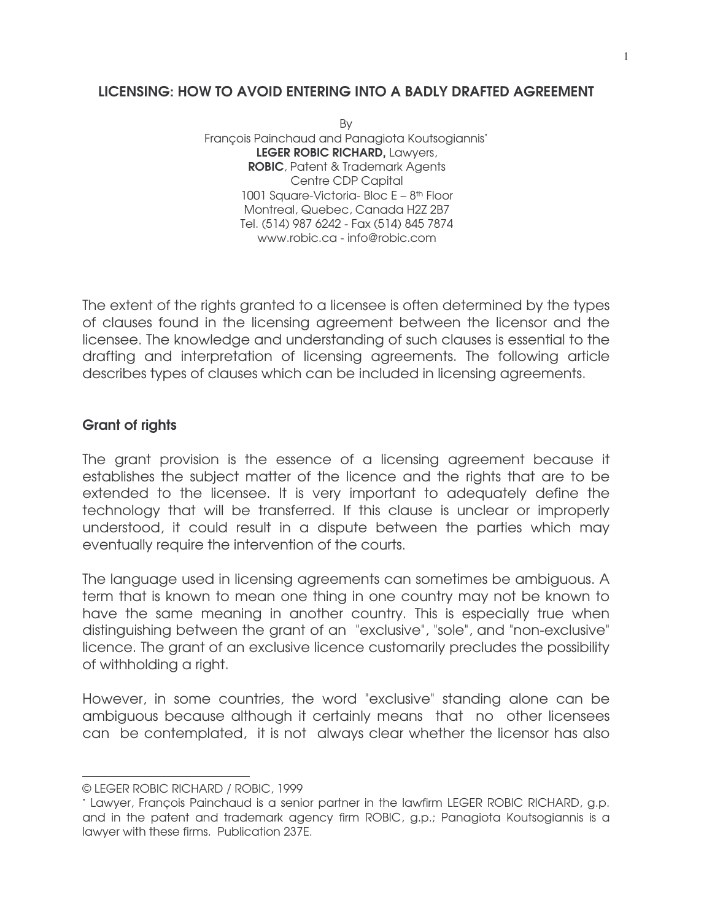### LICENSING: HOW TO AVOID ENTERING INTO A BADLY DRAFTED AGREEMENT

By François Painchaud and Panagiota Koutsogiannis\* LEGER ROBIC RICHARD, Lawyers, ROBIC, Patent & Trademark Agents Centre CDP Capital 1001 Square-Victoria- Bloc E - 8<sup>th</sup> Floor Montreal, Quebec, Canada H2Z 2B7 Tel. (514) 987 6242 - Fax (514) 845 7874 www.robic.ca - info@robic.com

The extent of the rights granted to a licensee is often determined by the types of clauses found in the licensing agreement between the licensor and the licensee. The knowledge and understanding of such clauses is essential to the drafting and interpretation of licensing agreements. The following article describes types of clauses which can be included in licensing agreements.

### Grant of rights

The grant provision is the essence of a licensing agreement because it establishes the subject matter of the licence and the rights that are to be extended to the licensee. It is very important to adequately define the technology that will be transferred. If this clause is unclear or improperly understood, it could result in a dispute between the parties which may eventually require the intervention of the courts.

The language used in licensing agreements can sometimes be ambiguous. A term that is known to mean one thing in one country may not be known to have the same meaning in another country. This is especially true when distinguishing between the grant of an "exclusive", "sole", and "non-exclusive" licence. The grant of an exclusive licence customarily precludes the possibility of withholding a right.

However, in some countries, the word "exclusive" standing alone can be ambiguous because although it certainly means that no other licensees can be contemplated, it is not always clear whether the licensor has also

<u> 1989 - Johann Barn, mars ann an t-Amhair an t-Amhair an t-Amhair an t-Amhair an t-Amhair an t-Amhair an t-Amh</u>

<sup>©</sup> LEGER ROBIC RICHARD / ROBIC, 1999

<sup>\*</sup> Lawyer, François Painchaud is a senior partner in the lawfirm LEGER ROBIC RICHARD, g.p. and in the patent and trademark agency firm ROBIC, g.p.; Panagiota Koutsogiannis is a lawyer with these firms. Publication 237E.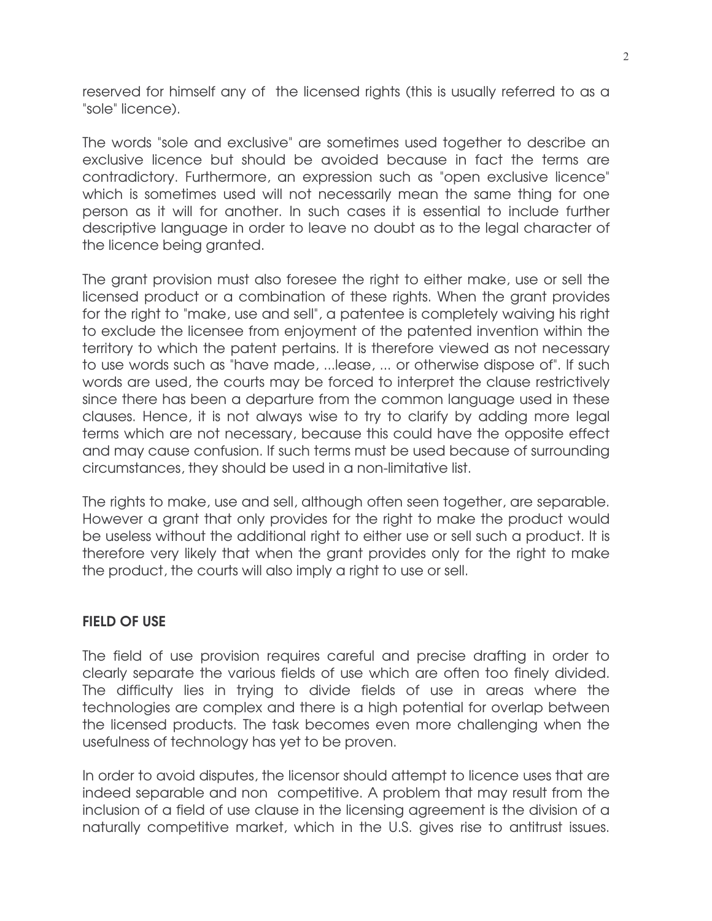reserved for himself any of the licensed rights (this is usually referred to as a "sole" licence).

The words "sole and exclusive" are sometimes used together to describe an exclusive licence but should be avoided because in fact the terms are contradictory. Furthermore, an expression such as "open exclusive licence" which is sometimes used will not necessarily mean the same thing for one person as it will for another. In such cases it is essential to include further descriptive language in order to leave no doubt as to the legal character of the licence being granted.

The grant provision must also foresee the right to either make, use or sell the licensed product or a combination of these rights. When the grant provides for the right to "make, use and sell", a patentee is completely waiving his right to exclude the licensee from enjoyment of the patented invention within the territory to which the patent pertains. It is therefore viewed as not necessary to use words such as "have made, ...lease, ... or otherwise dispose of". If such words are used, the courts may be forced to interpret the clause restrictively since there has been a departure from the common language used in these clauses. Hence, it is not always wise to try to clarify by adding more legal terms which are not necessary, because this could have the opposite effect and may cause confusion. If such terms must be used because of surrounding circumstances, they should be used in a non-limitative list.

The rights to make, use and sell, although often seen together, are separable. However a grant that only provides for the right to make the product would be useless without the additional right to either use or sell such a product. It is therefore very likely that when the grant provides only for the right to make the product, the courts will also imply a right to use or sell.

# FIELD OF USE

The field of use provision requires careful and precise drafting in order to clearly separate the various fields of use which are often too finely divided. The difficulty lies in trying to divide fields of use in areas where the technologies are complex and there is a high potential for overlap between the licensed products. The task becomes even more challenging when the usefulness of technology has yet to be proven.

In order to avoid disputes, the licensor should attempt to licence uses that are indeed separable and non competitive. A problem that may result from the inclusion of a field of use clause in the licensing agreement is the division of a naturally competitive market, which in the U.S. gives rise to antitrust issues.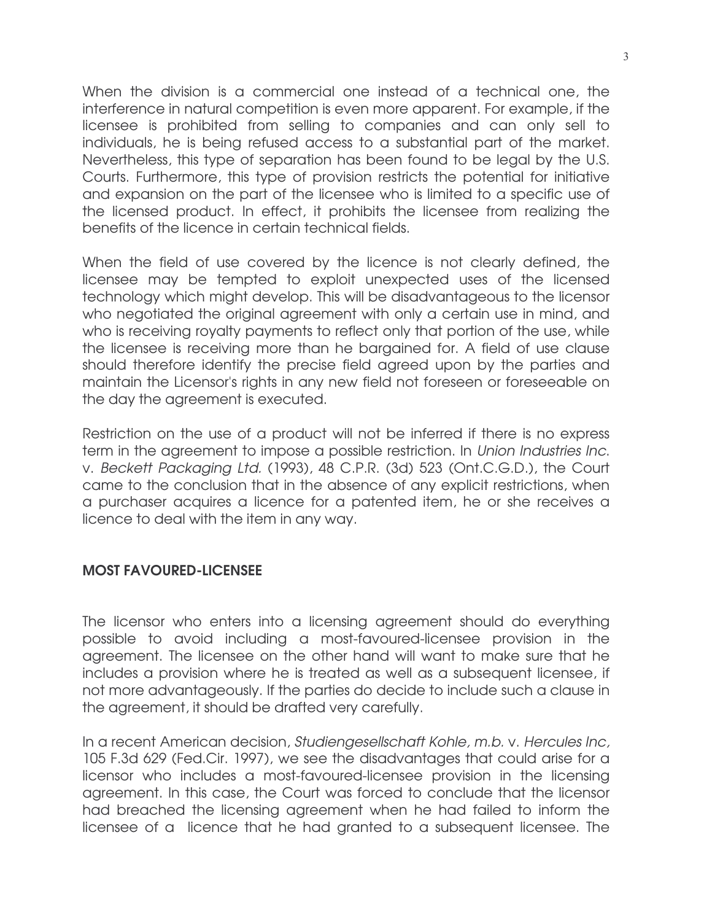When the division is a commercial one instead of a technical one, the interference in natural competition is even more apparent. For example, if the licensee is prohibited from selling to companies and can only sell to individuals, he is being refused access to a substantial part of the market. Nevertheless, this type of separation has been found to be legal by the U.S. Courts. Furthermore, this type of provision restricts the potential for initiative and expansion on the part of the licensee who is limited to a specific use of the licensed product. In effect, it prohibits the licensee from realizing the benefits of the licence in certain technical fields.

When the field of use covered by the licence is not clearly defined, the licensee may be tempted to exploit unexpected uses of the licensed technology which might develop. This will be disadvantageous to the licensor who negotiated the original agreement with only a certain use in mind, and who is receiving royalty payments to reflect only that portion of the use, while the licensee is receiving more than he bargained for. A field of use clause should therefore identify the precise field agreed upon by the parties and maintain the Licensor's rights in any new field not foreseen or foreseeable on the day the agreement is executed.

Restriction on the use of a product will not be inferred if there is no express term in the agreement to impose a possible restriction. In Union Industries Inc. v. Beckett Packaging Ltd. (1993), 48 C.P.R. (3d) 523 (Ont.C.G.D.), the Court came to the conclusion that in the absence of any explicit restrictions, when a purchaser acquires a licence for a patented item, he or she receives a licence to deal with the item in any way.

# MOST FAVOURED-LICENSEE

The licensor who enters into a licensing agreement should do everything possible to avoid including a most-favoured-licensee provision in the agreement. The licensee on the other hand will want to make sure that he includes a provision where he is treated as well as a subsequent licensee, if not more advantageously. If the parties do decide to include such a clause in the agreement, it should be drafted very carefully.

In a recent American decision, Studiengesellschaft Kohle, m.b. v. Hercules Inc, 105 F.3d 629 (Fed.Cir. 1997), we see the disadvantages that could arise for a licensor who includes a most-favoured-licensee provision in the licensing agreement. In this case, the Court was forced to conclude that the licensor had breached the licensing agreement when he had failed to inform the licensee of a licence that he had granted to a subsequent licensee. The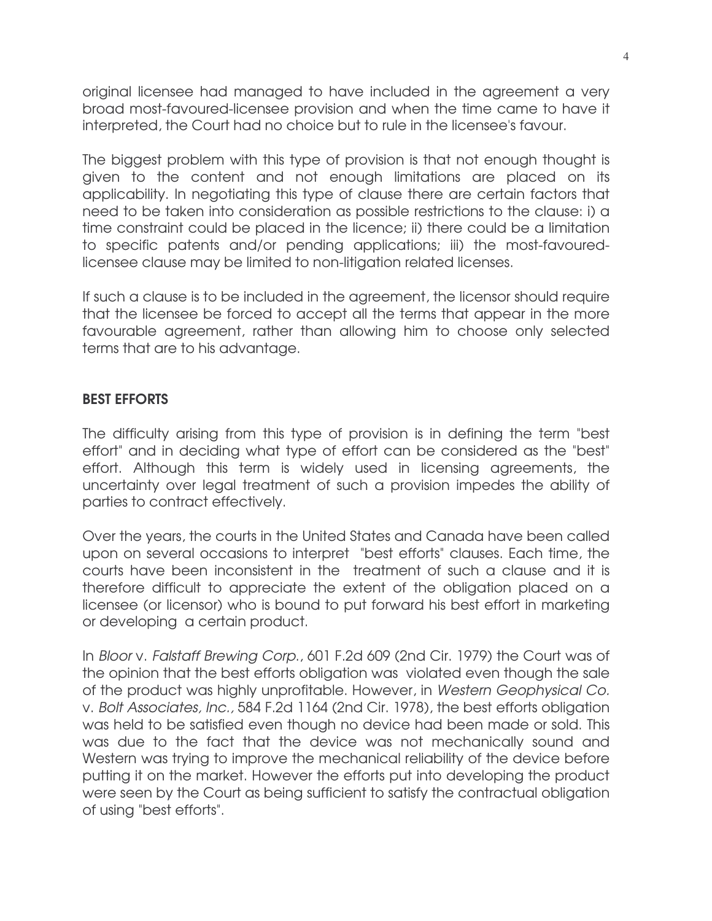original licensee had managed to have included in the agreement a very broad most-favoured-licensee provision and when the time came to have it interpreted, the Court had no choice but to rule in the licensee's favour.

The biggest problem with this type of provision is that not enough thought is given to the content and not enough limitations are placed on its applicability. In negotiating this type of clause there are certain factors that need to be taken into consideration as possible restrictions to the clause: i) a time constraint could be placed in the licence; ii) there could be a limitation to specific patents and/or pending applications; iii) the most-favouredlicensee clause may be limited to non-litigation related licenses.

If such a clause is to be included in the agreement, the licensor should require that the licensee be forced to accept all the terms that appear in the more favourable agreement, rather than allowing him to choose only selected terms that are to his advantage.

### BEST EFFORTS

The difficulty arising from this type of provision is in defining the term "best effort" and in deciding what type of effort can be considered as the "best" effort. Although this term is widely used in licensing agreements, the uncertainty over legal treatment of such a provision impedes the ability of parties to contract effectively.

Over the years, the courts in the United States and Canada have been called upon on several occasions to interpret "best efforts" clauses. Each time, the courts have been inconsistent in the treatment of such a clause and it is therefore difficult to appreciate the extent of the obligation placed on a licensee (or licensor) who is bound to put forward his best effort in marketing or developing a certain product.

In Bloor v. Falstaff Brewing Corp., 601 F.2d 609 (2nd Cir. 1979) the Court was of the opinion that the best efforts obligation was violated even though the sale of the product was highly unprofitable. However, in Western Geophysical Co. v. Bolt Associates, Inc., 584 F.2d 1164 (2nd Cir. 1978), the best efforts obligation was held to be satisfied even though no device had been made or sold. This was due to the fact that the device was not mechanically sound and Western was trying to improve the mechanical reliability of the device before putting it on the market. However the efforts put into developing the product were seen by the Court as being sufficient to satisfy the contractual obligation of using "best efforts".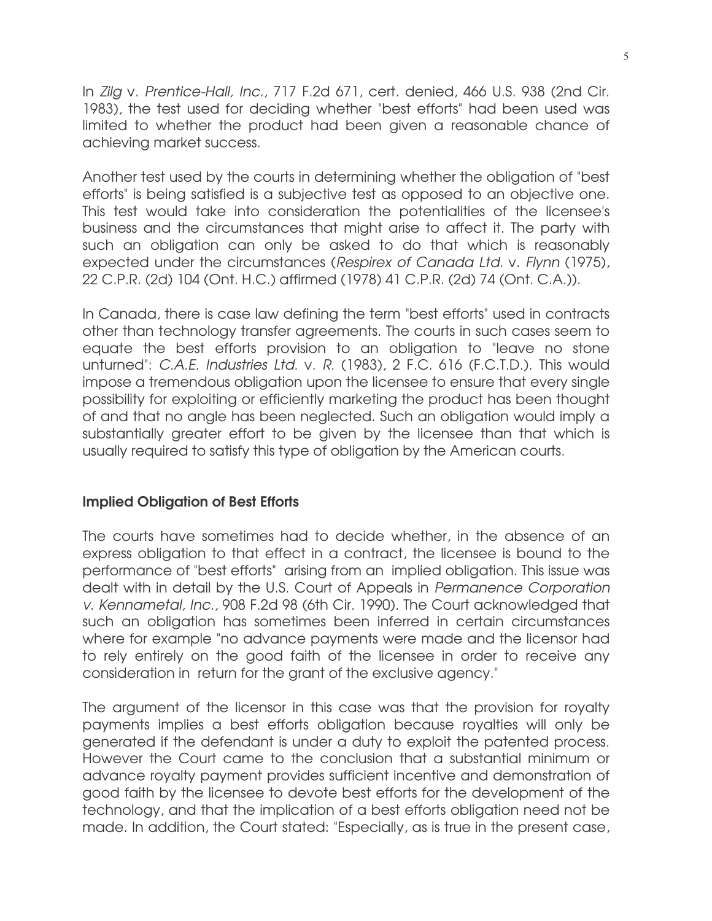In Zilg v. Prentice-Hall, Inc., 717 F.2d 671, cert. denied, 466 U.S. 938 (2nd Cir. 1983), the test used for deciding whether "best efforts" had been used was limited to whether the product had been given a reasonable chance of achieving market success.

Another test used by the courts in determining whether the obligation of "best efforts" is being satisfied is a subjective test as opposed to an objective one. This test would take into consideration the potentialities of the licensee's business and the circumstances that might arise to affect it. The party with such an obligation can only be asked to do that which is reasonably expected under the circumstances (Respirex of Canada Ltd. v. Flynn (1975), 22 C.P.R. (2d) 104 (Ont. H.C.) affirmed (1978) 41 C.P.R. (2d) 74 (Ont. C.A.)).

In Canada, there is case law defining the term "best efforts" used in contracts other than technology transfer agreements. The courts in such cases seem to equate the best efforts provision to an obligation to "leave no stone unturned": C.A.E. Industries Ltd. v. R. (1983), 2 F.C. 616 (F.C.T.D.). This would impose a tremendous obligation upon the licensee to ensure that every single possibility for exploiting or efficiently marketing the product has been thought of and that no angle has been neglected. Such an obligation would imply a substantially greater effort to be given by the licensee than that which is usually required to satisfy this type of obligation by the American courts.

#### Implied Obligation of Best Efforts

The courts have sometimes had to decide whether, in the absence of an express obligation to that effect in a contract, the licensee is bound to the performance of "best efforts" arising from an implied obligation. This issue was dealt with in detail by the U.S. Court of Appeals in Permanence Corporation v. Kennametal, Inc., 908 F.2d 98 (6th Cir. 1990). The Court acknowledged that such an obligation has sometimes been inferred in certain circumstances where for example "no advance payments were made and the licensor had to rely entirely on the good faith of the licensee in order to receive any consideration in return for the grant of the exclusive agency."

The argument of the licensor in this case was that the provision for royalty payments implies a best efforts obligation because royalties will only be generated if the defendant is under a duty to exploit the patented process. However the Court came to the conclusion that a substantial minimum or advance royalty payment provides sufficient incentive and demonstration of good faith by the licensee to devote best efforts for the development of the technology, and that the implication of a best efforts obligation need not be made. In addition, the Court stated: "Especially, as is true in the present case,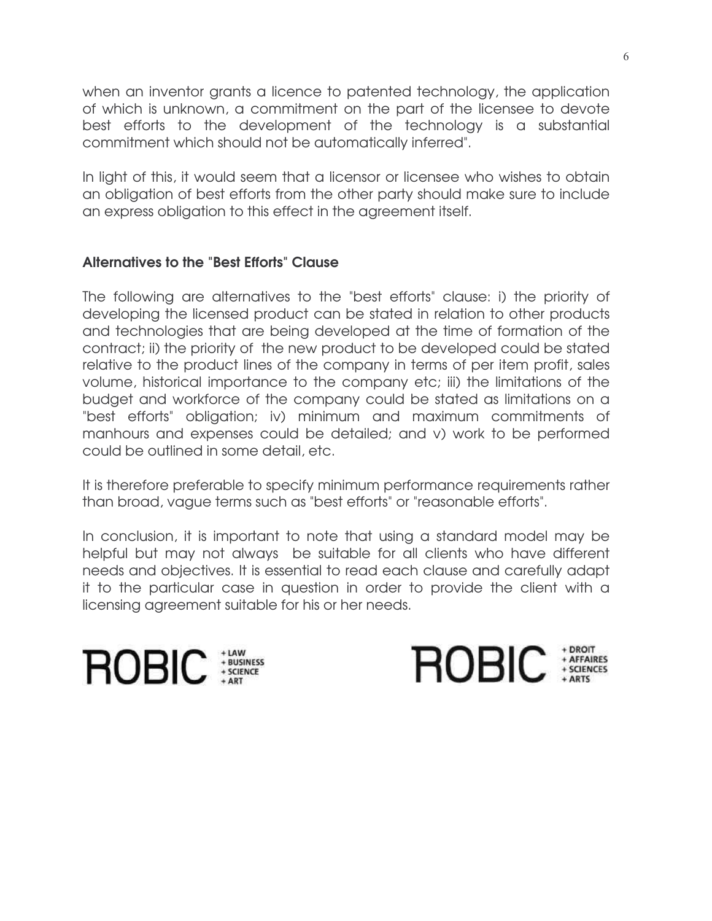when an inventor grants a licence to patented technology, the application of which is unknown, a commitment on the part of the licensee to devote best efforts to the development of the technology is a substantial commitment which should not be automatically inferred".

In light of this, it would seem that a licensor or licensee who wishes to obtain an obligation of best efforts from the other party should make sure to include an express obligation to this effect in the agreement itself.

# Alternatives to the "Best Efforts" Clause

The following are alternatives to the "best efforts" clause: i) the priority of developing the licensed product can be stated in relation to other products and technologies that are being developed at the time of formation of the contract; ii) the priority of the new product to be developed could be stated relative to the product lines of the company in terms of per item profit, sales volume, historical importance to the company etc; iii) the limitations of the budget and workforce of the company could be stated as limitations on a "best efforts" obligation; iv) minimum and maximum commitments of manhours and expenses could be detailed; and v) work to be performed could be outlined in some detail, etc.

It is therefore preferable to specify minimum performance requirements rather than broad, vague terms such as "best efforts" or "reasonable efforts".

In conclusion, it is important to note that using a standard model may be helpful but may not always be suitable for all clients who have different needs and objectives. It is essential to read each clause and carefully adapt it to the particular case in question in order to provide the client with a licensing agreement suitable for his or her needs.